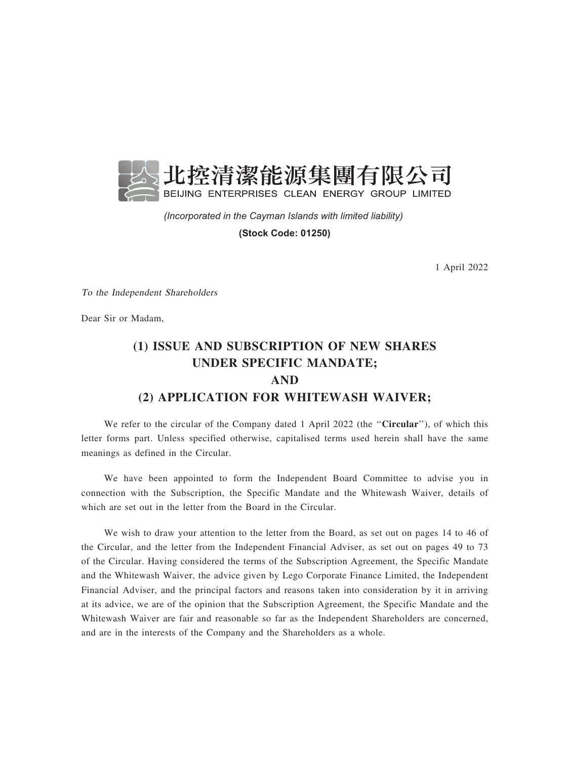

*(Incorporated in the Cayman Islands with limited liability)* 

**(Stock Code: 01250)**

1 April 2022

To the Independent Shareholders

Dear Sir or Madam,

## (1) ISSUE AND SUBSCRIPTION OF NEW SHARES UNDER SPECIFIC MANDATE; AND (2) APPLICATION FOR WHITEWASH WAIVER;

We refer to the circular of the Company dated 1 April 2022 (the "Circular"), of which this letter forms part. Unless specified otherwise, capitalised terms used herein shall have the same meanings as defined in the Circular.

We have been appointed to form the Independent Board Committee to advise you in connection with the Subscription, the Specific Mandate and the Whitewash Waiver, details of which are set out in the letter from the Board in the Circular.

We wish to draw your attention to the letter from the Board, as set out on pages 14 to 46 of the Circular, and the letter from the Independent Financial Adviser, as set out on pages 49 to 73 of the Circular. Having considered the terms of the Subscription Agreement, the Specific Mandate and the Whitewash Waiver, the advice given by Lego Corporate Finance Limited, the Independent Financial Adviser, and the principal factors and reasons taken into consideration by it in arriving at its advice, we are of the opinion that the Subscription Agreement, the Specific Mandate and the Whitewash Waiver are fair and reasonable so far as the Independent Shareholders are concerned, and are in the interests of the Company and the Shareholders as a whole.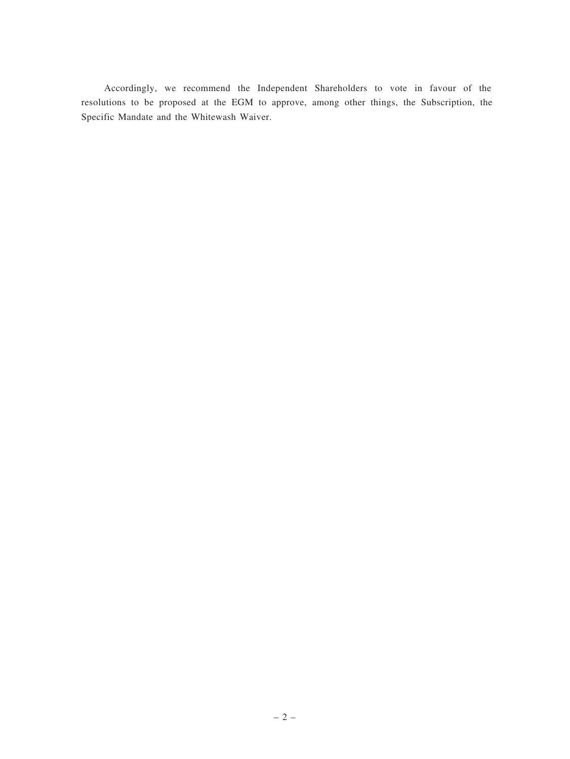Accordingly, we recommend the Independent Shareholders to vote in favour of the resolutions to be proposed at the EGM to approve, among other things, the Subscription, the Specific Mandate and the Whitewash Waiver.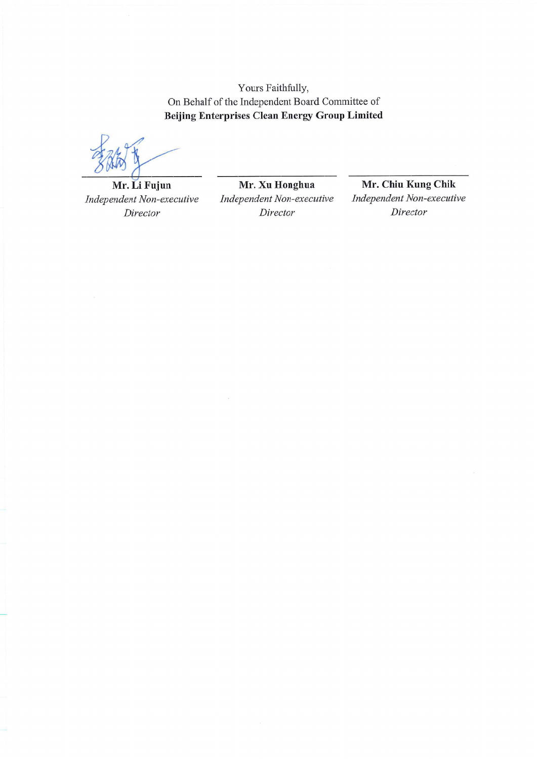Yours Faithfully, On Behalf of the Independent Board Committee of **Beijing Enterprises Clean Energy Group Limited** 

Mr. Li Fujun Independent Non-executive Director

Mr. Xu Honghua Independent Non-executive Director

Mr. Chiu Kung Chik Independent Non-executive Director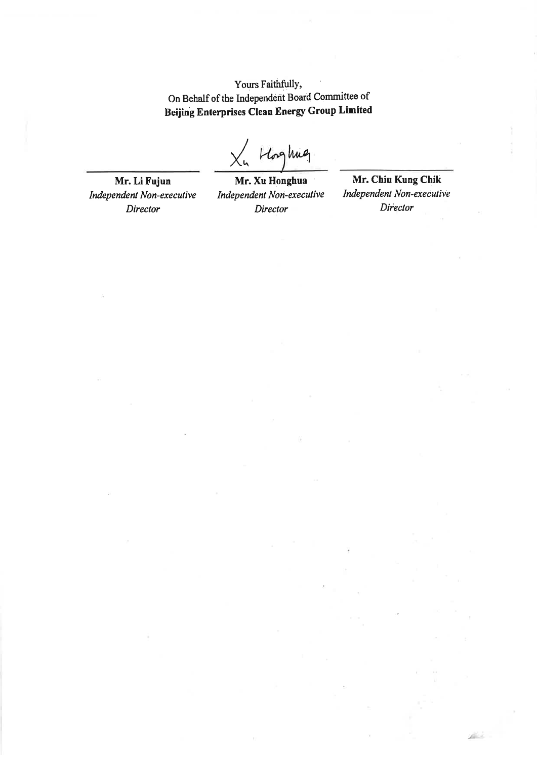Yours Faithfully, On Behalf of the Independent Board Committee of Beijing Enterprises Clean Energy Group Limited

 $X_n$  Hoghue

Mr. Li Fujun Independent Non-executive Director

Mr. Xu Honghua Independent Non-executive Director

Mr. Chiu Kung Chik **Independent Non-executive** Director

ji v